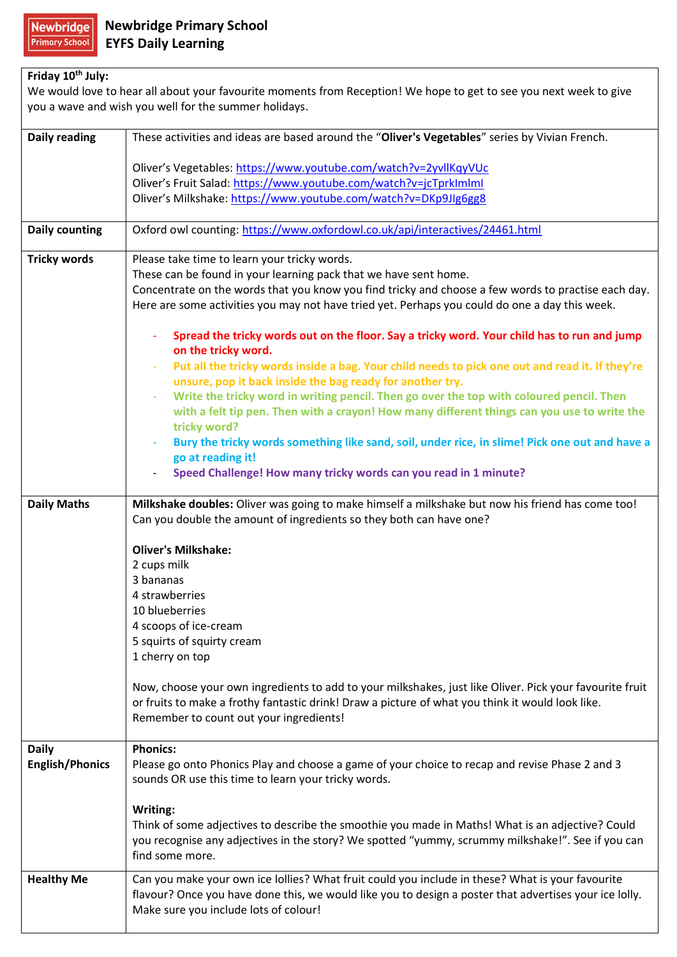## **Friday 10th July:**

We would love to hear all about your favourite moments from Reception! We hope to get to see you next week to give you a wave and wish you well for the summer holidays. **Daily reading** These activities and ideas are based around the "**Oliver's Vegetables**" series by Vivian French. Oliver's Vegetables: <https://www.youtube.com/watch?v=2yvllKqyVUc> Oliver's Fruit Salad: <https://www.youtube.com/watch?v=jcTprkImlmI> Oliver's Milkshake: <https://www.youtube.com/watch?v=DKp9JIg6gg8> **Daily counting** | Oxford owl counting:<https://www.oxfordowl.co.uk/api/interactives/24461.html> **Tricky words** | Please take time to learn your tricky words. These can be found in your learning pack that we have sent home. Concentrate on the words that you know you find tricky and choose a few words to practise each day. Here are some activities you may not have tried yet. Perhaps you could do one a day this week. - **Spread the tricky words out on the floor. Say a tricky word. Your child has to run and jump on the tricky word.**  - **Put all the tricky words inside a bag. Your child needs to pick one out and read it. If they're unsure, pop it back inside the bag ready for another try.**  Write the tricky word in writing pencil. Then go over the top with coloured pencil. Then **with a felt tip pen. Then with a crayon! How many different things can you use to write the tricky word?**  - **Bury the tricky words something like sand, soil, under rice, in slime! Pick one out and have a go at reading it!**  - **Speed Challenge! How many tricky words can you read in 1 minute? Daily Maths Milkshake doubles:** Oliver was going to make himself a milkshake but now his friend has come too! Can you double the amount of ingredients so they both can have one? **Oliver's Milkshake:** 2 cups milk 3 bananas 4 strawberries 10 blueberries 4 scoops of ice-cream 5 squirts of squirty cream 1 cherry on top Now, choose your own ingredients to add to your milkshakes, just like Oliver. Pick your favourite fruit or fruits to make a frothy fantastic drink! Draw a picture of what you think it would look like. Remember to count out your ingredients! **Daily English/Phonics Phonics:** Please go onto Phonics Play and choose a game of your choice to recap and revise Phase 2 and 3 sounds OR use this time to learn your tricky words. **Writing:** Think of some adjectives to describe the smoothie you made in Maths! What is an adjective? Could you recognise any adjectives in the story? We spotted "yummy, scrummy milkshake!". See if you can find some more. **Healthy Me** Can you make your own ice lollies? What fruit could you include in these? What is your favourite flavour? Once you have done this, we would like you to design a poster that advertises your ice lolly.

Make sure you include lots of colour!